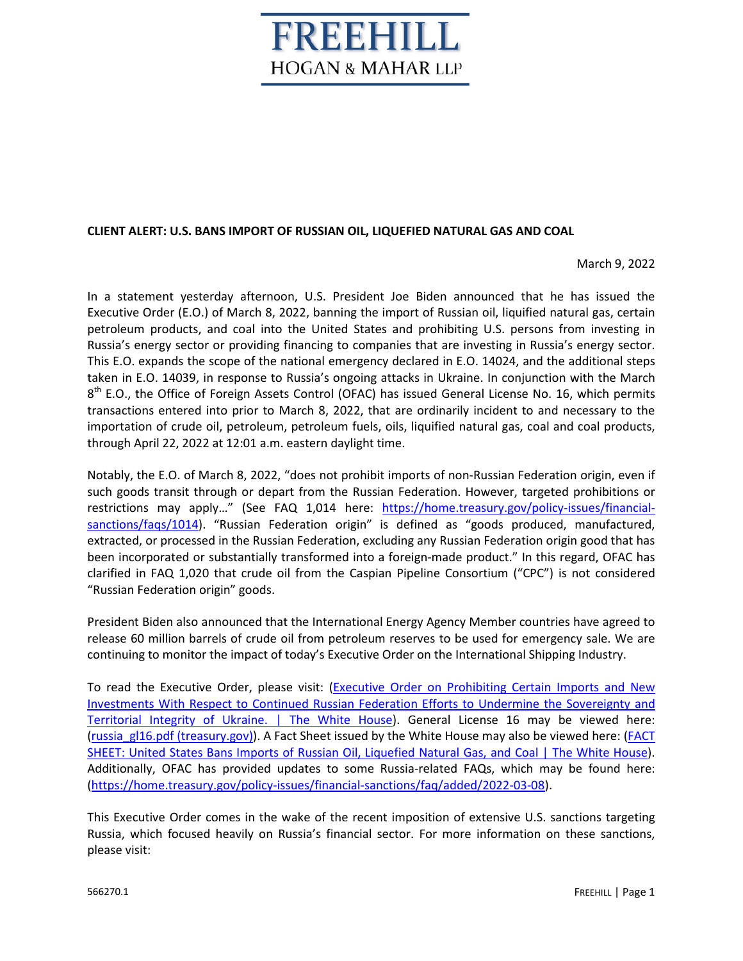## REEHILL **HOGAN & MAHAR LLP**

## **CLIENT ALERT: U.S. BANS IMPORT OF RUSSIAN OIL, LIQUEFIED NATURAL GAS AND COAL**

March 9, 2022

In a statement yesterday afternoon, U.S. President Joe Biden announced that he has issued the Executive Order (E.O.) of March 8, 2022, banning the import of Russian oil, liquified natural gas, certain petroleum products, and coal into the United States and prohibiting U.S. persons from investing in Russia's energy sector or providing financing to companies that are investing in Russia's energy sector. This E.O. expands the scope of the national emergency declared in E.O. 14024, and the additional steps taken in E.O. 14039, in response to Russia's ongoing attacks in Ukraine. In conjunction with the March 8<sup>th</sup> E.O., the Office of Foreign Assets Control (OFAC) has issued General License No. 16, which permits transactions entered into prior to March 8, 2022, that are ordinarily incident to and necessary to the importation of crude oil, petroleum, petroleum fuels, oils, liquified natural gas, coal and coal products, through April 22, 2022 at 12:01 a.m. eastern daylight time.

Notably, the E.O. of March 8, 2022, "does not prohibit imports of non-Russian Federation origin, even if such goods transit through or depart from the Russian Federation. However, targeted prohibitions or restrictions may apply…" (See FAQ 1,014 here: [https://home.treasury.gov/policy-issues/financial](https://home.treasury.gov/policy-issues/financial-sanctions/faqs/1014)[sanctions/faqs/1014\)](https://home.treasury.gov/policy-issues/financial-sanctions/faqs/1014). "Russian Federation origin" is defined as "goods produced, manufactured, extracted, or processed in the Russian Federation, excluding any Russian Federation origin good that has been incorporated or substantially transformed into a foreign-made product." In this regard, OFAC has clarified in FAQ 1,020 that crude oil from the Caspian Pipeline Consortium ("CPC") is not considered "Russian Federation origin" goods.

President Biden also announced that the International Energy Agency Member countries have agreed to release 60 million barrels of crude oil from petroleum reserves to be used for emergency sale. We are continuing to monitor the impact of today's Executive Order on the International Shipping Industry.

To read the Executive Order, please visit: (Executive Order on Prohibiting Certain Imports and New [Investments With Respect to Continued Russian Federation Efforts to Undermine the Sovereignty and](https://www.whitehouse.gov/briefing-room/presidential-actions/2022/03/08/executive-order-on-prohibiting-certain-imports-and-new-investments-with-respect-to-continued-russian-federation-efforts-to-undermine-the-sovereignty-and-territorial-integrity-of-ukraine/) [Territorial Integrity of Ukraine. | The White House\)](https://www.whitehouse.gov/briefing-room/presidential-actions/2022/03/08/executive-order-on-prohibiting-certain-imports-and-new-investments-with-respect-to-continued-russian-federation-efforts-to-undermine-the-sovereignty-and-territorial-integrity-of-ukraine/). General License 16 may be viewed here: [\(russia\\_gl16.pdf \(treasury.gov\)\)](https://home.treasury.gov/system/files/126/russia_gl16.pdf). A Fact Sheet issued by the White House may also be viewed here: ([FACT](https://www.whitehouse.gov/briefing-room/statements-releases/2022/03/08/fact-sheet-united-states-bans-imports-of-russian-oil-liquefied-natural-gas-and-coal/)  [SHEET: United States Bans Imports of Russian Oil, Liquefied Natural Gas, and Coal | The White House\)](https://www.whitehouse.gov/briefing-room/statements-releases/2022/03/08/fact-sheet-united-states-bans-imports-of-russian-oil-liquefied-natural-gas-and-coal/). Additionally, OFAC has provided updates to some Russia-related FAQs, which may be found here: [\(https://home.treasury.gov/policy-issues/financial-sanctions/faq/added/2022-03-08\)](https://home.treasury.gov/policy-issues/financial-sanctions/faq/added/2022-03-08).

This Executive Order comes in the wake of the recent imposition of extensive U.S. sanctions targeting Russia, which focused heavily on Russia's financial sector. For more information on these sanctions, please visit: